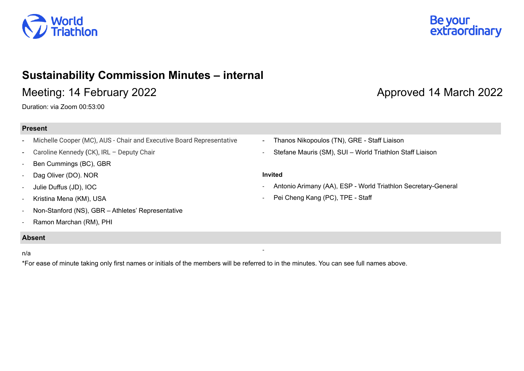

# **Sustainability Commission Minutes – internal**

# Meeting: 14 February 2022 **Approved 14 March 2022**

Duration: via Zoom 00:53:00

## **Present**

- Michelle Cooper (MC), AUS Chair and Executive Board Representative
- Caroline Kennedy **(**CK), IRL Deputy Chair
- Ben Cummings (BC), GBR
- Dag Oliver (DO). NOR
- Julie Duffus (JD), IOC
- Kristina Mena (KM), USA
- Non-Stanford (NS), GBR Athletes' Representative
- Ramon Marchan (RM), PHI

## **Absent**

#### n/a

\*For ease of minute taking only first names or initials of the members will be referred to in the minutes. You can see full names above.

Be your<br>extraordinary

- Thanos Nikopoulos (TN), GRE Staff Liaison
- Stefane Mauris (SM), SUI World Triathlon Staff Liaison

#### **Invited**

-

- Antonio Arimany (AA), ESP World Triathlon Secretary-General
- Pei Cheng Kang (PC), TPE Staff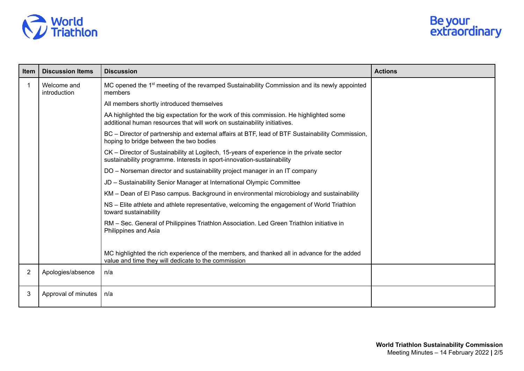

| <b>Item</b> | <b>Discussion Items</b>     | <b>Discussion</b>                                                                                                                                                   | <b>Actions</b> |
|-------------|-----------------------------|---------------------------------------------------------------------------------------------------------------------------------------------------------------------|----------------|
| 1           | Welcome and<br>introduction | MC opened the 1 <sup>st</sup> meeting of the revamped Sustainability Commission and its newly appointed<br>members                                                  |                |
|             |                             | All members shortly introduced themselves                                                                                                                           |                |
|             |                             | AA highlighted the big expectation for the work of this commission. He highlighted some<br>additional human resources that will work on sustainability initiatives. |                |
|             |                             | BC - Director of partnership and external affairs at BTF, lead of BTF Sustainability Commission,<br>hoping to bridge between the two bodies                         |                |
|             |                             | CK – Director of Sustainability at Logitech, 15-years of experience in the private sector<br>sustainability programme. Interests in sport-innovation-sustainability |                |
|             |                             | DO - Norseman director and sustainability project manager in an IT company                                                                                          |                |
|             |                             | JD - Sustainability Senior Manager at International Olympic Committee                                                                                               |                |
|             |                             | KM – Dean of El Paso campus. Background in environmental microbiology and sustainability                                                                            |                |
|             |                             | NS – Elite athlete and athlete representative, welcoming the engagement of World Triathlon<br>toward sustainability                                                 |                |
|             |                             | RM - Sec. General of Philippines Triathlon Association. Led Green Triathlon initiative in<br>Philippines and Asia                                                   |                |
|             |                             | MC highlighted the rich experience of the members, and thanked all in advance for the added<br>value and time they will dedicate to the commission                  |                |
| 2           | Apologies/absence           | n/a                                                                                                                                                                 |                |
| 3           | Approval of minutes         | n/a                                                                                                                                                                 |                |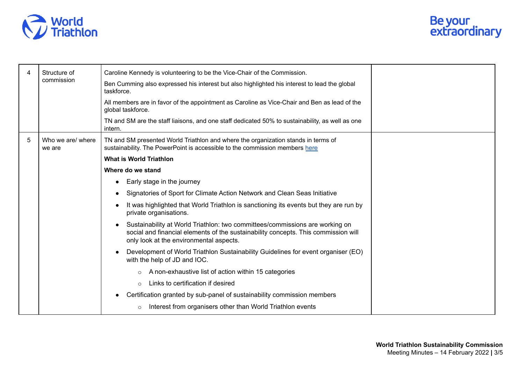

| 4 | Structure of<br>commission  | Caroline Kennedy is volunteering to be the Vice-Chair of the Commission.                                                                                                                                      |  |
|---|-----------------------------|---------------------------------------------------------------------------------------------------------------------------------------------------------------------------------------------------------------|--|
|   |                             | Ben Cumming also expressed his interest but also highlighted his interest to lead the global<br>taskforce.                                                                                                    |  |
|   |                             | All members are in favor of the appointment as Caroline as Vice-Chair and Ben as lead of the<br>global taskforce.                                                                                             |  |
|   |                             | TN and SM are the staff liaisons, and one staff dedicated 50% to sustainability, as well as one<br>intern.                                                                                                    |  |
| 5 | Who we are/ where<br>we are | TN and SM presented World Triathlon and where the organization stands in terms of<br>sustainability. The PowerPoint is accessible to the commission members here                                              |  |
|   |                             | <b>What is World Triathlon</b>                                                                                                                                                                                |  |
|   |                             | Where do we stand                                                                                                                                                                                             |  |
|   |                             | Early stage in the journey                                                                                                                                                                                    |  |
|   |                             | Signatories of Sport for Climate Action Network and Clean Seas Initiative                                                                                                                                     |  |
|   |                             | It was highlighted that World Triathlon is sanctioning its events but they are run by<br>private organisations.                                                                                               |  |
|   |                             | Sustainability at World Triathlon: two committees/commissions are working on<br>social and financial elements of the sustainability concepts. This commission will<br>only look at the environmental aspects. |  |
|   |                             | Development of World Triathlon Sustainability Guidelines for event organiser (EO)<br>with the help of JD and IOC.                                                                                             |  |
|   |                             | A non-exhaustive list of action within 15 categories<br>$\circ$                                                                                                                                               |  |
|   |                             | Links to certification if desired<br>$\Omega$                                                                                                                                                                 |  |
|   |                             | Certification granted by sub-panel of sustainability commission members                                                                                                                                       |  |
|   |                             | Interest from organisers other than World Triathlon events<br>$\circ$                                                                                                                                         |  |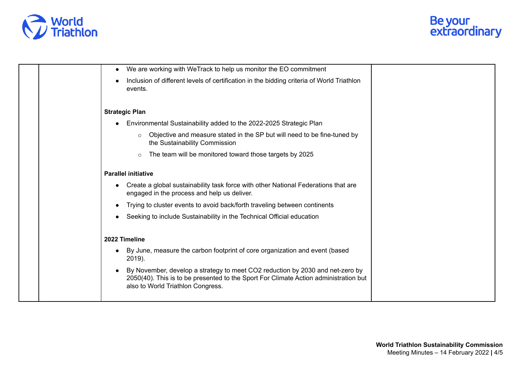

|  | We are working with WeTrack to help us monitor the EO commitment                                                                                                                                           |
|--|------------------------------------------------------------------------------------------------------------------------------------------------------------------------------------------------------------|
|  | Inclusion of different levels of certification in the bidding criteria of World Triathlon<br>events.                                                                                                       |
|  | <b>Strategic Plan</b>                                                                                                                                                                                      |
|  | Environmental Sustainability added to the 2022-2025 Strategic Plan                                                                                                                                         |
|  | Objective and measure stated in the SP but will need to be fine-tuned by<br>$\circ$<br>the Sustainability Commission                                                                                       |
|  | The team will be monitored toward those targets by 2025<br>$\circ$                                                                                                                                         |
|  | <b>Parallel initiative</b>                                                                                                                                                                                 |
|  | Create a global sustainability task force with other National Federations that are<br>engaged in the process and help us deliver.                                                                          |
|  | Trying to cluster events to avoid back/forth traveling between continents                                                                                                                                  |
|  | Seeking to include Sustainability in the Technical Official education                                                                                                                                      |
|  | 2022 Timeline                                                                                                                                                                                              |
|  | By June, measure the carbon footprint of core organization and event (based<br>2019).                                                                                                                      |
|  | By November, develop a strategy to meet CO2 reduction by 2030 and net-zero by<br>2050(40). This is to be presented to the Sport For Climate Action administration but<br>also to World Triathlon Congress. |